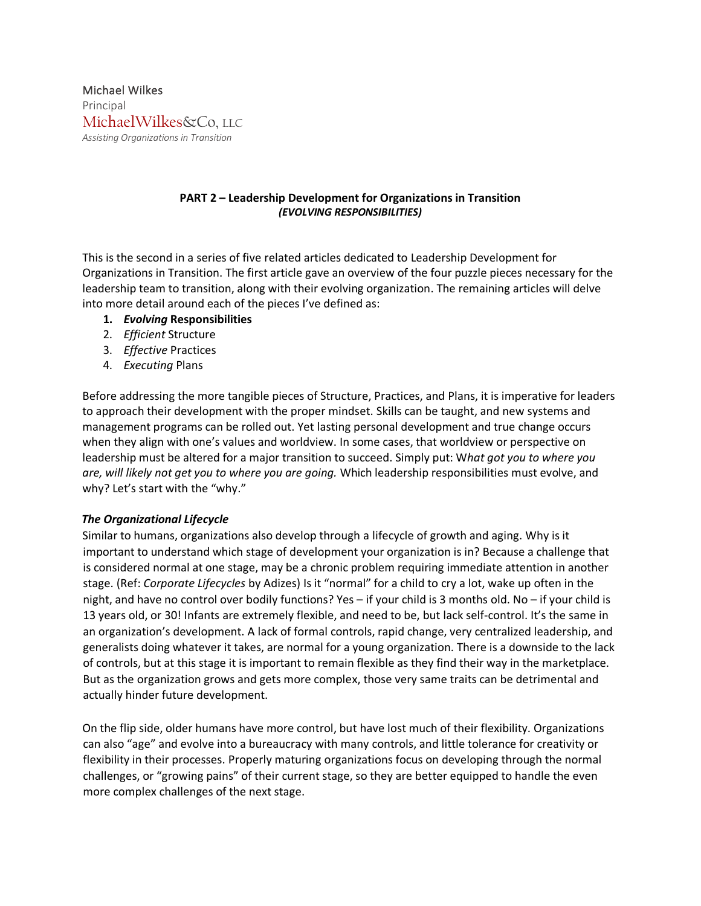Michael Wilkes Principal MichaelWilkes&Co, LLC *Assisting Organizations in Transition*

# **PART 2 – Leadership Development for Organizations in Transition** *(EVOLVING RESPONSIBILITIES)*

This is the second in a series of five related articles dedicated to Leadership Development for Organizations in Transition. The first article gave an overview of the four puzzle pieces necessary for the leadership team to transition, along with their evolving organization. The remaining articles will delve into more detail around each of the pieces I've defined as:

- **1.** *Evolving* **Responsibilities**
- 2. *Efficient* Structure
- 3. *Effective* Practices
- 4. *Executing* Plans

Before addressing the more tangible pieces of Structure, Practices, and Plans, it is imperative for leaders to approach their development with the proper mindset. Skills can be taught, and new systems and management programs can be rolled out. Yet lasting personal development and true change occurs when they align with one's values and worldview. In some cases, that worldview or perspective on leadership must be altered for a major transition to succeed. Simply put: W*hat got you to where you are, will likely not get you to where you are going.* Which leadership responsibilities must evolve, and why? Let's start with the "why."

## *The Organizational Lifecycle*

Similar to humans, organizations also develop through a lifecycle of growth and aging. Why is it important to understand which stage of development your organization is in? Because a challenge that is considered normal at one stage, may be a chronic problem requiring immediate attention in another stage. (Ref: *Corporate Lifecycles* by Adizes) Is it "normal" for a child to cry a lot, wake up often in the night, and have no control over bodily functions? Yes – if your child is 3 months old. No – if your child is 13 years old, or 30! Infants are extremely flexible, and need to be, but lack self-control. It's the same in an organization's development. A lack of formal controls, rapid change, very centralized leadership, and generalists doing whatever it takes, are normal for a young organization. There is a downside to the lack of controls, but at this stage it is important to remain flexible as they find their way in the marketplace. But as the organization grows and gets more complex, those very same traits can be detrimental and actually hinder future development.

On the flip side, older humans have more control, but have lost much of their flexibility. Organizations can also "age" and evolve into a bureaucracy with many controls, and little tolerance for creativity or flexibility in their processes. Properly maturing organizations focus on developing through the normal challenges, or "growing pains" of their current stage, so they are better equipped to handle the even more complex challenges of the next stage.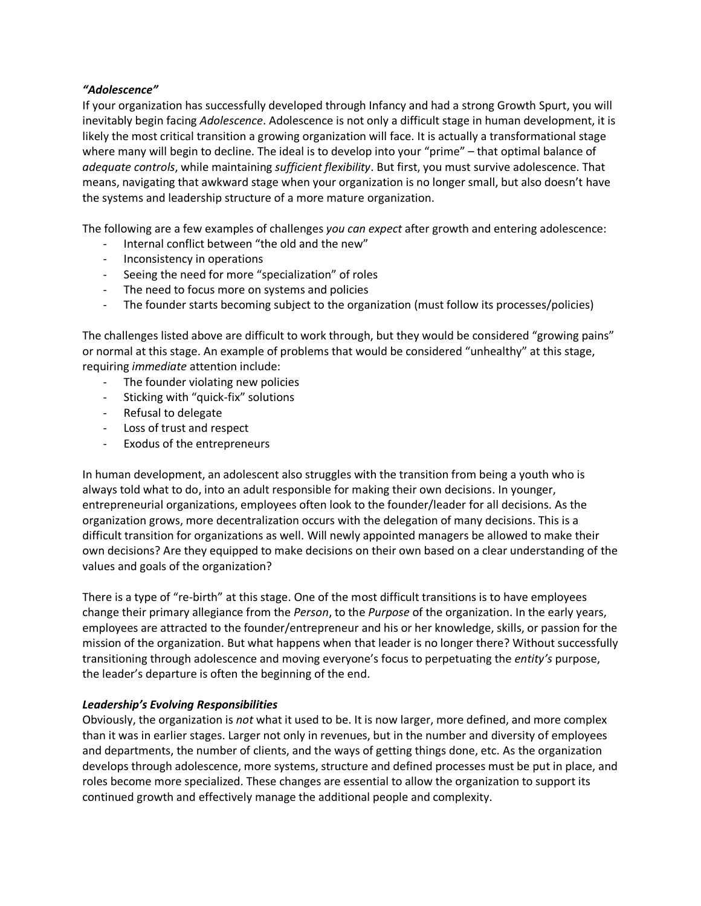## *"Adolescence"*

If your organization has successfully developed through Infancy and had a strong Growth Spurt, you will inevitably begin facing *Adolescence*. Adolescence is not only a difficult stage in human development, it is likely the most critical transition a growing organization will face. It is actually a transformational stage where many will begin to decline. The ideal is to develop into your "prime" – that optimal balance of *adequate controls*, while maintaining *sufficient flexibility*. But first, you must survive adolescence. That means, navigating that awkward stage when your organization is no longer small, but also doesn't have the systems and leadership structure of a more mature organization.

The following are a few examples of challenges *you can expect* after growth and entering adolescence:

- Internal conflict between "the old and the new"
- Inconsistency in operations
- Seeing the need for more "specialization" of roles
- The need to focus more on systems and policies
- The founder starts becoming subject to the organization (must follow its processes/policies)

The challenges listed above are difficult to work through, but they would be considered "growing pains" or normal at this stage. An example of problems that would be considered "unhealthy" at this stage, requiring *immediate* attention include:

- The founder violating new policies
- Sticking with "quick-fix" solutions
- Refusal to delegate
- Loss of trust and respect
- Exodus of the entrepreneurs

In human development, an adolescent also struggles with the transition from being a youth who is always told what to do, into an adult responsible for making their own decisions. In younger, entrepreneurial organizations, employees often look to the founder/leader for all decisions. As the organization grows, more decentralization occurs with the delegation of many decisions. This is a difficult transition for organizations as well. Will newly appointed managers be allowed to make their own decisions? Are they equipped to make decisions on their own based on a clear understanding of the values and goals of the organization?

There is a type of "re-birth" at this stage. One of the most difficult transitions is to have employees change their primary allegiance from the *Person*, to the *Purpose* of the organization. In the early years, employees are attracted to the founder/entrepreneur and his or her knowledge, skills, or passion for the mission of the organization. But what happens when that leader is no longer there? Without successfully transitioning through adolescence and moving everyone's focus to perpetuating the *entity's* purpose, the leader's departure is often the beginning of the end.

### *Leadership's Evolving Responsibilities*

Obviously, the organization is *not* what it used to be. It is now larger, more defined, and more complex than it was in earlier stages. Larger not only in revenues, but in the number and diversity of employees and departments, the number of clients, and the ways of getting things done, etc. As the organization develops through adolescence, more systems, structure and defined processes must be put in place, and roles become more specialized. These changes are essential to allow the organization to support its continued growth and effectively manage the additional people and complexity.